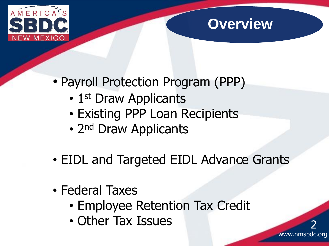

## **Overview**

www.nmsbdc.org

2

- Payroll Protection Program (PPP)
	- 1st Draw Applicants
	- Existing PPP Loan Recipients
	- 2<sup>nd</sup> Draw Applicants
- EIDL and Targeted EIDL Advance Grants
- Federal Taxes
	- Employee Retention Tax Credit
	- Other Tax Issues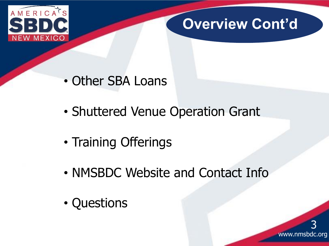

# **Overview Cont'd**

- Other SBA Loans
- Shuttered Venue Operation Grant
- Training Offerings
- NMSBDC Website and Contact Info
- Questions

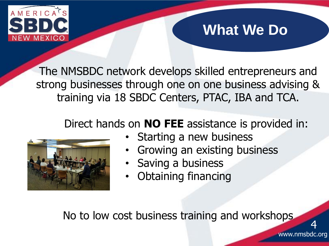

# **What We Do**

The NMSBDC network develops skilled entrepreneurs and strong businesses through one on one business advising & training via 18 SBDC Centers, PTAC, IBA and TCA.

### Direct hands on **NO FEE** assistance is provided in:



- Starting a new business
- Growing an existing business
- Saving a business
- Obtaining financing

No to low cost business training and workshops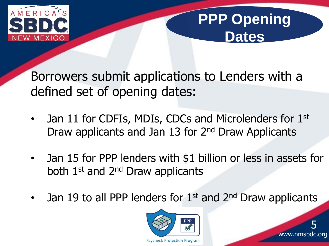

# **PPP Opening Dates**

Borrowers submit applications to Lenders with a defined set of opening dates:

- Jan 11 for CDFIs, MDIs, CDCs and Microlenders for 1st Draw applicants and Jan 13 for 2<sup>nd</sup> Draw Applicants
- Jan 15 for PPP lenders with \$1 billion or less in assets for both 1st and 2nd Draw applicants
- Jan 19 to all PPP lenders for 1<sup>st</sup> and 2<sup>nd</sup> Draw applicants



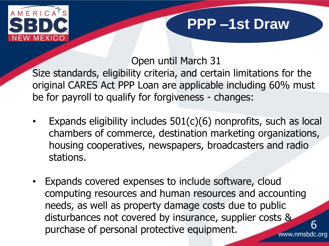

## **PPP –1st Draw**

6

Open until March 31

- Size standards, eligibility criteria, and certain limitations for the original CARES Act PPP Loan are applicable including 60% must be for payroll to qualify for forgiveness - changes:
- Expands eligibility includes  $501(c)(6)$  nonprofits, such as local chambers of commerce, destination marketing organizations, housing cooperatives, newspapers, broadcasters and radio stations.
- www.nmsbdc.org • Expands covered expenses to include software, cloud computing resources and human resources and accounting needs, as well as property damage costs due to public disturbances not covered by insurance, supplier costs & purchase of personal protective equipment.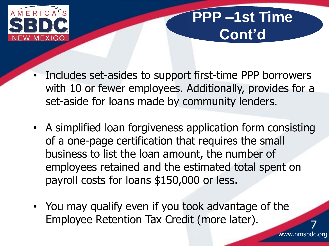

# **PPP –1st Time Cont'd**

- Includes set-asides to support first-time PPP borrowers with 10 or fewer employees. Additionally, provides for a set-aside for loans made by community lenders.
- A simplified loan forgiveness application form consisting of a one-page certification that requires the small business to list the loan amount, the number of employees retained and the estimated total spent on payroll costs for loans \$150,000 or less.
- You may qualify even if you took advantage of the Employee Retention Tax Credit (more later).

7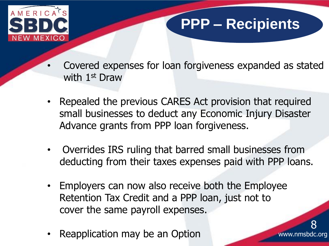

# **PPP – Recipients**

www.nmsbdc.org

8

- Covered expenses for loan forgiveness expanded as stated with 1st Draw
- Repealed the previous CARES Act provision that required small businesses to deduct any Economic Injury Disaster Advance grants from PPP loan forgiveness.
- Overrides IRS ruling that barred small businesses from deducting from their taxes expenses paid with PPP loans.
- Employers can now also receive both the Employee Retention Tax Credit and a PPP loan, just not to cover the same payroll expenses.
- Reapplication may be an Option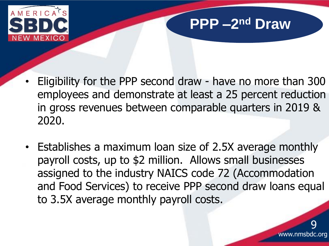

# **PPP**  $-2^{nd}$  Draw

- Eligibility for the PPP second draw have no more than 300 employees and demonstrate at least a 25 percent reduction in gross revenues between comparable quarters in 2019 & 2020.
- Establishes a maximum loan size of 2.5X average monthly payroll costs, up to \$2 million. Allows small businesses assigned to the industry NAICS code 72 (Accommodation and Food Services) to receive PPP second draw loans equal to 3.5X average monthly payroll costs.

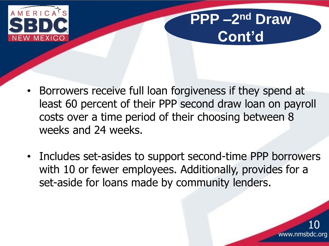

# **PPP –2 nd Draw Cont'd**

- Borrowers receive full loan forgiveness if they spend at least 60 percent of their PPP second draw loan on payroll costs over a time period of their choosing between 8 weeks and 24 weeks.
- Includes set-asides to support second-time PPP borrowers with 10 or fewer employees. Additionally, provides for a set-aside for loans made by community lenders.

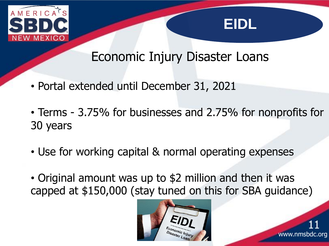



www.nmsbdc.org

11

#### Economic Injury Disaster Loans

- Portal extended until December 31, 2021
- Terms 3.75% for businesses and 2.75% for nonprofits for 30 years
- Use for working capital & normal operating expenses
- Original amount was up to \$2 million and then it was capped at \$150,000 (stay tuned on this for SBA guidance)

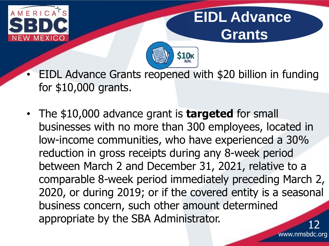

# **EIDL Advance Grants**



- EIDL Advance Grants reopened with \$20 billion in funding for \$10,000 grants.
- The \$10,000 advance grant is **targeted** for small businesses with no more than 300 employees, located in low-income communities, who have experienced a 30% reduction in gross receipts during any 8-week period between March 2 and December 31, 2021, relative to a comparable 8-week period immediately preceding March 2, 2020, or during 2019; or if the covered entity is a seasonal business concern, such other amount determined appropriate by the SBA Administrator.

www.nmsbdc.org 12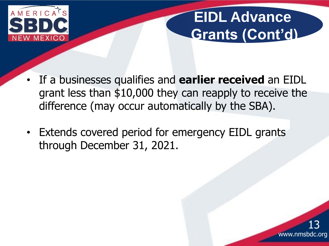

# **EIDL Advance Grants (Cont'd)**

- If a businesses qualifies and **earlier received** an EIDL grant less than \$10,000 they can reapply to receive the difference (may occur automatically by the SBA).
- Extends covered period for emergency EIDL grants through December 31, 2021.

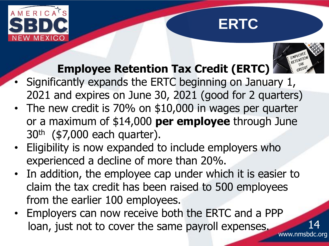





14

## **Employee Retention Tax Credit (ERTC)**

- Significantly expands the ERTC beginning on January 1, 2021 and expires on June 30, 2021 (good for 2 quarters)
- The new credit is 70% on \$10,000 in wages per quarter or a maximum of \$14,000 **per employee** through June 30th (\$7,000 each quarter).
- Eligibility is now expanded to include employers who experienced a decline of more than 20%.
- In addition, the employee cap under which it is easier to claim the tax credit has been raised to 500 employees from the earlier 100 employees.
- www.nmsbdc.org • Employers can now receive both the ERTC and a PPP loan, just not to cover the same payroll expenses.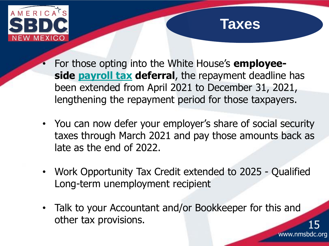

#### **Taxes**

www.nmsbdc.org

15

- For those opting into the White House's **employeeside [payroll tax](https://taxfoundation.org/tax-basics/payroll-tax/) deferral**, the repayment deadline has been extended from April 2021 to December 31, 2021, lengthening the repayment period for those taxpayers.
- You can now defer your employer's share of social security taxes through March 2021 and pay those amounts back as late as the end of 2022.
- Work Opportunity Tax Credit extended to 2025 Qualified Long-term unemployment recipient
- Talk to your Accountant and/or Bookkeeper for this and other tax provisions.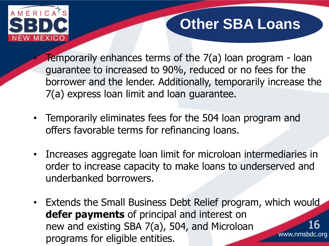

# **Other SBA Loans**

Temporarily enhances terms of the 7(a) loan program - loan guarantee to increased to 90%, reduced or no fees for the borrower and the lender. Additionally, temporarily increase the 7(a) express loan limit and loan guarantee.

- Temporarily eliminates fees for the 504 loan program and offers favorable terms for refinancing loans.
- Increases aggregate loan limit for microloan intermediaries in order to increase capacity to make loans to underserved and underbanked borrowers.
- www.nmsbdc.org • Extends the Small Business Debt Relief program, which would **defer payments** of principal and interest on new and existing SBA 7(a), 504, and Microloan programs for eligible entities. 16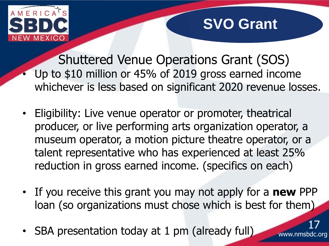

# **SVO Grant**

Shuttered Venue Operations Grant (SOS) Up to \$10 million or 45% of 2019 gross earned income whichever is less based on significant 2020 revenue losses.

- Eligibility: Live venue operator or promoter, theatrical producer, or live performing arts organization operator, a museum operator, a motion picture theatre operator, or a talent representative who has experienced at least 25% reduction in gross earned income. (specifics on each)
- If you receive this grant you may not apply for a **new** PPP loan (so organizations must chose which is best for them)
- SBA presentation today at 1 pm (already full)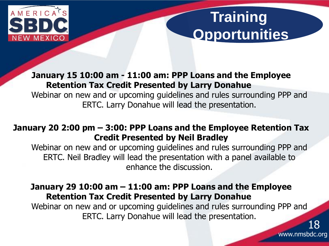

# **Training Opportunities**

www.nmsbdc.org

**January 15 10:00 am - 11:00 am: PPP Loans and the Employee Retention Tax Credit Presented by Larry Donahue** Webinar on new and or upcoming guidelines and rules surrounding PPP and ERTC. Larry Donahue will lead the presentation.

#### **January 20 2:00 pm – 3:00: PPP Loans and the Employee Retention Tax Credit Presented by Neil Bradley**

Webinar on new and or upcoming guidelines and rules surrounding PPP and ERTC. Neil Bradley will lead the presentation with a panel available to enhance the discussion.

#### **January 29 10:00 am – 11:00 am: PPP Loans and the Employee Retention Tax Credit Presented by Larry Donahue**

Webinar on new and or upcoming guidelines and rules surrounding PPP and ERTC. Larry Donahue will lead the presentation. 18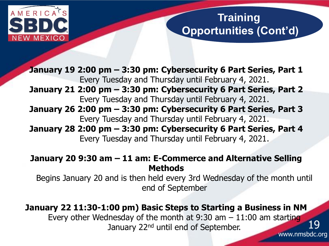

#### **Training Opportunities (Cont'd)**

**January 19 2:00 pm – 3:30 pm: Cybersecurity 6 Part Series, Part 1** Every Tuesday and Thursday until February 4, 2021. **January 21 2:00 pm – 3:30 pm: Cybersecurity 6 Part Series, Part 2** Every Tuesday and Thursday until February 4, 2021. **January 26 2:00 pm – 3:30 pm: Cybersecurity 6 Part Series, Part 3** Every Tuesday and Thursday until February 4, 2021. **January 28 2:00 pm – 3:30 pm: Cybersecurity 6 Part Series, Part 4** Every Tuesday and Thursday until February 4, 2021.

#### **January 20 9:30 am – 11 am: E-Commerce and Alternative Selling Methods**

Begins January 20 and is then held every 3rd Wednesday of the month until end of September

**January 22 11:30-1:00 pm) Basic Steps to Starting a Business in NM** Every other Wednesday of the month at 9:30 am  $-11:00$  am starting January 22<sup>nd</sup> until end of September. 19

www.nmsbdc.org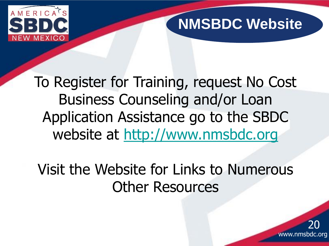

# **NMSBDC Website**

www.nmsbdc.org

20

To Register for Training, request No Cost Business Counseling and/or Loan Application Assistance go to the SBDC website at [http://www.nmsbdc.org](http://www.nmsbdc.org/) 

Visit the Website for Links to Numerous Other Resources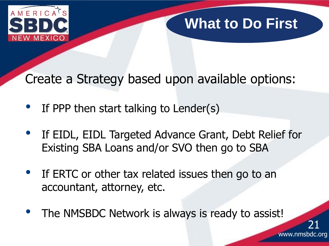

# **What to Do First**

Create a Strategy based upon available options:

- If PPP then start talking to Lender(s)
- If EIDL, EIDL Targeted Advance Grant, Debt Relief for Existing SBA Loans and/or SVO then go to SBA
- If ERTC or other tax related issues then go to an accountant, attorney, etc.
- The NMSBDC Network is always is ready to assist!

www.nmsbdc.org 21